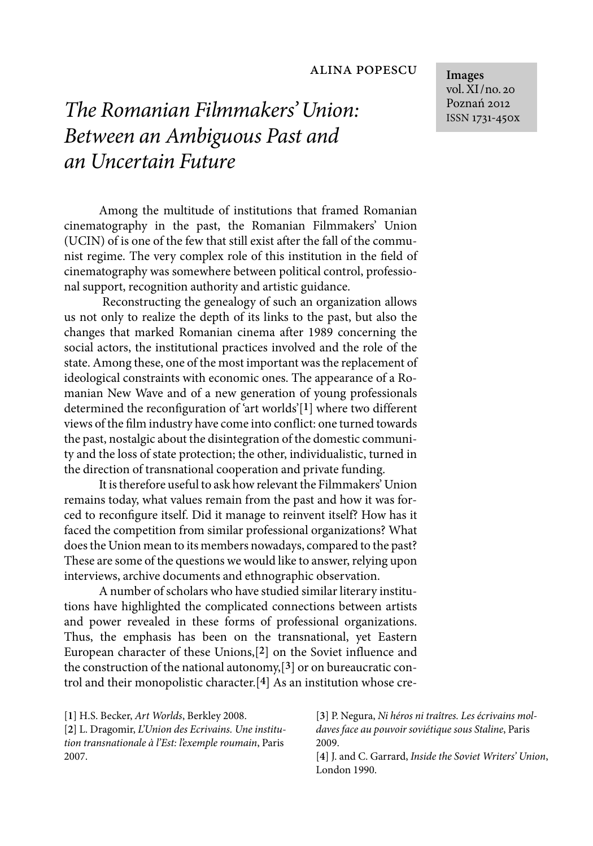## *The Romanian Filmmakers' Union: Between an Ambiguous Past and an Uncertain Future*

Among the multitude of institutions that framed Romanian cinematography in the past, the Romanian Filmmakers' Union (UCIN) of is one of the few that still exist after the fall of the communist regime. The very complex role of this institution in the field of cinematography was somewhere between political control, professional support, recognition authority and artistic guidance.

Reconstructing the genealogy of such an organization allows us not only to realize the depth of its links to the past, but also the changes that marked Romanian cinema after 1989 concerning the social actors, the institutional practices involved and the role of the state. Among these, one of the most important was the replacement of ideological constraints with economic ones. The appearance of a Romanian New Wave and of a new generation of young professionals determined the reconfiguration of 'art worlds'[**1**] where two different views of the film industry have come into conflict: one turned towards the past, nostalgic about the disintegration of the domestic community and the loss of state protection; the other, individualistic, turned in the direction of transnational cooperation and private funding.

It is therefore useful to ask how relevant the Filmmakers' Union remains today, what values remain from the past and how it was forced to reconfigure itself. Did it manage to reinvent itself? How has it faced the competition from similar professional organizations? What does the Union mean to its members nowadays, compared to the past? These are some of the questions we would like to answer, relying upon interviews, archive documents and ethnographic observation.

A number of scholars who have studied similar literary institutions have highlighted the complicated connections between artists and power revealed in these forms of professional organizations. Thus, the emphasis has been on the transnational, yet Eastern European character of these Unions,[**2**] on the Soviet influence and the construction of the national autonomy,[**3**] or on bureaucratic control and their monopolistic character.[**4**] As an institution whose cre-

[**1**] H.S. Becker, *Art Worlds*, Berkley 2008.

[**2**] L. Dragomir, *L'Union des Ecrivains. Une institution transnationale à l'Est: l'exemple roumain*, Paris 2007.

[**3**] P. Negura, *Ni héros ni traîtres. Les écrivains moldaves face au pouvoir soviétique sous Staline*, Paris 2009.

[**4**] J. and C. Garrard, *Inside the Soviet Writers' Union*, London 1990.

**Images** vol. XI/no. 20 Poznań 2012 ISSN 1731-450x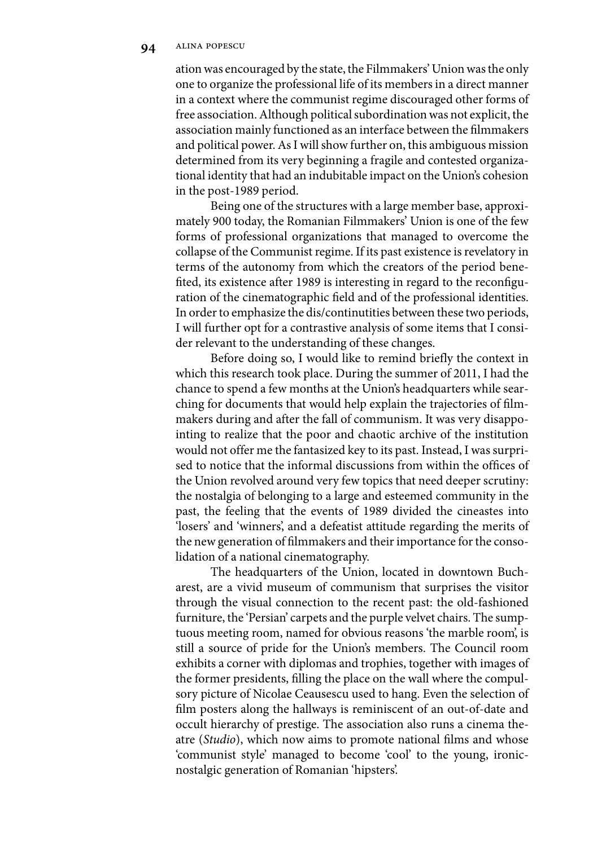ation was encouraged by the state, the Filmmakers' Union was the only one to organize the professional life of its members in a direct manner in a context where the communist regime discouraged other forms of free association. Although political subordination was not explicit, the association mainly functioned as an interface between the filmmakers and political power. As I will show further on, this ambiguous mission determined from its very beginning a fragile and contested organizational identity that had an indubitable impact on the Union's cohesion in the post-1989 period.

Being one of the structures with a large member base, approximately 900 today, the Romanian Filmmakers' Union is one of the few forms of professional organizations that managed to overcome the collapse of the Communist regime. If its past existence is revelatory in terms of the autonomy from which the creators of the period benefited, its existence after 1989 is interesting in regard to the reconfiguration of the cinematographic field and of the professional identities. In order to emphasize the dis/continutities between these two periods, I will further opt for a contrastive analysis of some items that I consider relevant to the understanding of these changes.

Before doing so, I would like to remind briefly the context in which this research took place. During the summer of 2011, I had the chance to spend a few months at the Union's headquarters while searching for documents that would help explain the trajectories of filmmakers during and after the fall of communism. It was very disappointing to realize that the poor and chaotic archive of the institution would not offer me the fantasized key to its past. Instead, I was surprised to notice that the informal discussions from within the offices of the Union revolved around very few topics that need deeper scrutiny: the nostalgia of belonging to a large and esteemed community in the past, the feeling that the events of 1989 divided the cineastes into 'losers' and 'winners', and a defeatist attitude regarding the merits of the new generation of filmmakers and their importance for the consolidation of a national cinematography.

The headquarters of the Union, located in downtown Bucharest, are a vivid museum of communism that surprises the visitor through the visual connection to the recent past: the old-fashioned furniture, the 'Persian' carpets and the purple velvet chairs. The sumptuous meeting room, named for obvious reasons 'the marble room', is still a source of pride for the Union's members. The Council room exhibits a corner with diplomas and trophies, together with images of the former presidents, filling the place on the wall where the compulsory picture of Nicolae Ceausescu used to hang. Even the selection of film posters along the hallways is reminiscent of an out-of-date and occult hierarchy of prestige. The association also runs a cinema theatre (*Studio*), which now aims to promote national films and whose 'communist style' managed to become 'cool' to the young, ironicnostalgic generation of Romanian 'hipsters'.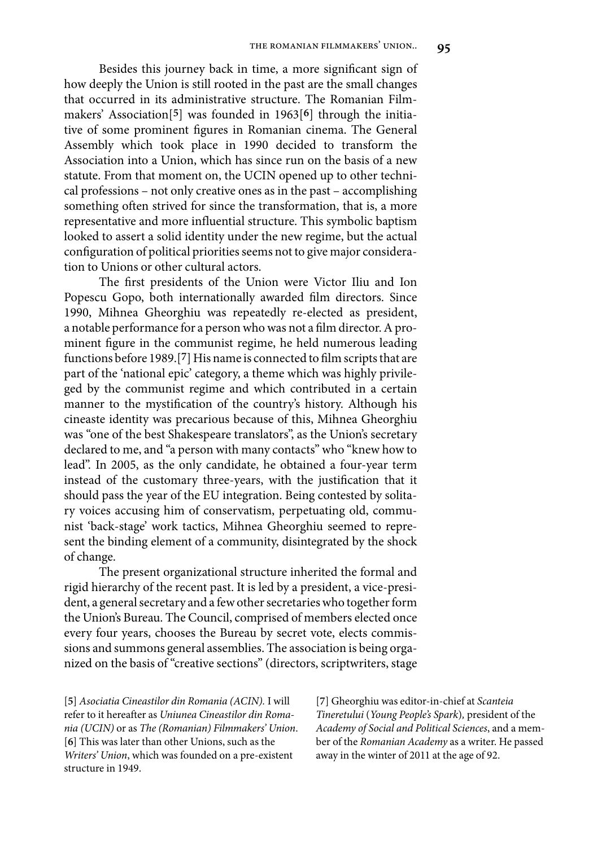Besides this journey back in time, a more significant sign of how deeply the Union is still rooted in the past are the small changes that occurred in its administrative structure. The Romanian Filmmakers' Association[**5**] was founded in 1963[**6**] through the initiative of some prominent figures in Romanian cinema. The General Assembly which took place in 1990 decided to transform the Association into a Union, which has since run on the basis of a new statute. From that moment on, the UCIN opened up to other technical professions – not only creative ones as in the past – accomplishing something often strived for since the transformation, that is, a more representative and more influential structure. This symbolic baptism looked to assert a solid identity under the new regime, but the actual configuration of political priorities seems not to give major consideration to Unions or other cultural actors.

The first presidents of the Union were Victor Iliu and Ion Popescu Gopo, both internationally awarded film directors. Since 1990, Mihnea Gheorghiu was repeatedly re-elected as president, a notable performance for a person who was not a film director. A prominent figure in the communist regime, he held numerous leading functions before 1989.[**7**] His name is connected to film scripts that are part of the 'national epic' category, a theme which was highly privileged by the communist regime and which contributed in a certain manner to the mystification of the country's history. Although his cineaste identity was precarious because of this, Mihnea Gheorghiu was "one of the best Shakespeare translators", as the Union's secretary declared to me, and "a person with many contacts" who "knew how to lead". In 2005, as the only candidate, he obtained a four-year term instead of the customary three-years, with the justification that it should pass the year of the EU integration. Being contested by solitary voices accusing him of conservatism, perpetuating old, communist 'back-stage' work tactics, Mihnea Gheorghiu seemed to represent the binding element of a community, disintegrated by the shock of change.

The present organizational structure inherited the formal and rigid hierarchy of the recent past. It is led by a president, a vice-president, a general secretary and a few other secretaries who together form the Union's Bureau. The Council, comprised of members elected once every four years, chooses the Bureau by secret vote, elects commissions and summons general assemblies. The association is being organized on the basis of "creative sections" (directors, scriptwriters, stage

[**5**] *Asociatia Cineastilor din Romania (ACIN).* I will refer to it hereafter as *Uniunea Cineastilor din Romania (UCIN)* or as *The (Romanian) Filmmakers' Union*. [**6**] This was later than other Unions, such as the *Writers' Union*, which was founded on a pre-existent structure in 1949.

[**7**] Gheorghiu was editor-in-chief at *Scanteia Tineretului* (*Young People's Spark*)*,* president of the *Academy of Social and Political Sciences*, and a member of the *Romanian Academy* as a writer. He passed away in the winter of 2011 at the age of 92.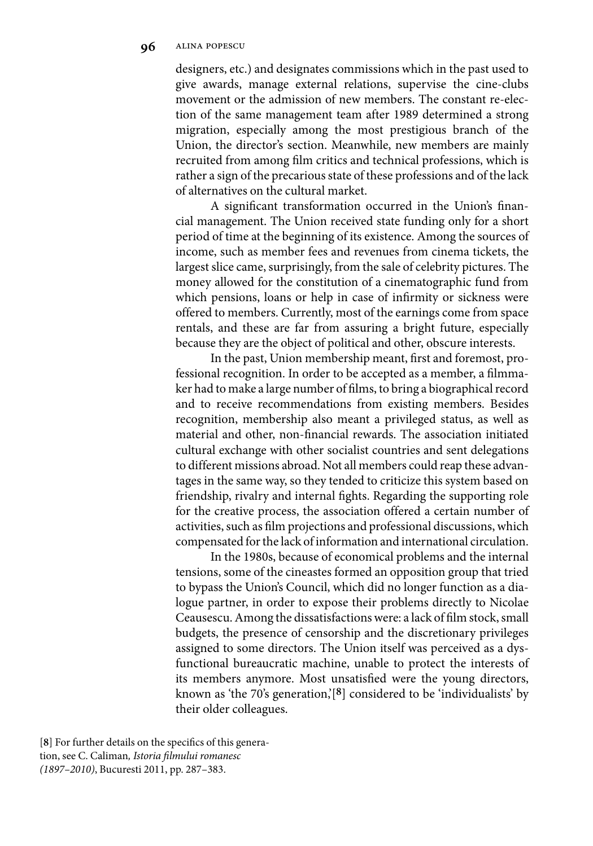designers, etc.) and designates commissions which in the past used to give awards, manage external relations, supervise the cine-clubs movement or the admission of new members. The constant re-election of the same management team after 1989 determined a strong migration, especially among the most prestigious branch of the Union, the director's section. Meanwhile, new members are mainly recruited from among film critics and technical professions, which is rather a sign of the precarious state of these professions and of the lack of alternatives on the cultural market.

A significant transformation occurred in the Union's financial management. The Union received state funding only for a short period of time at the beginning of its existence. Among the sources of income, such as member fees and revenues from cinema tickets, the largest slice came, surprisingly, from the sale of celebrity pictures. The money allowed for the constitution of a cinematographic fund from which pensions, loans or help in case of infirmity or sickness were offered to members. Currently, most of the earnings come from space rentals, and these are far from assuring a bright future, especially because they are the object of political and other, obscure interests.

In the past, Union membership meant, first and foremost, professional recognition. In order to be accepted as a member, a filmmaker had to make a large number of films, to bring a biographical record and to receive recommendations from existing members. Besides recognition, membership also meant a privileged status, as well as material and other, non-financial rewards. The association initiated cultural exchange with other socialist countries and sent delegations to different missions abroad. Not all members could reap these advantages in the same way, so they tended to criticize this system based on friendship, rivalry and internal fights. Regarding the supporting role for the creative process, the association offered a certain number of activities, such as film projections and professional discussions, which compensated for the lack of information and international circulation.

In the 1980s, because of economical problems and the internal tensions, some of the cineastes formed an opposition group that tried to bypass the Union's Council, which did no longer function as a dialogue partner, in order to expose their problems directly to Nicolae Ceausescu. Among the dissatisfactions were: a lack of film stock, small budgets, the presence of censorship and the discretionary privileges assigned to some directors. The Union itself was perceived as a dysfunctional bureaucratic machine, unable to protect the interests of its members anymore. Most unsatisfied were the young directors, known as 'the 70's generation,'[**8**] considered to be 'individualists' by their older colleagues.

[**8**] For further details on the specifics of this generation, see C. Caliman*, Istoria filmului romanesc (1897–2010)*, Bucuresti 2011, pp. 287–383.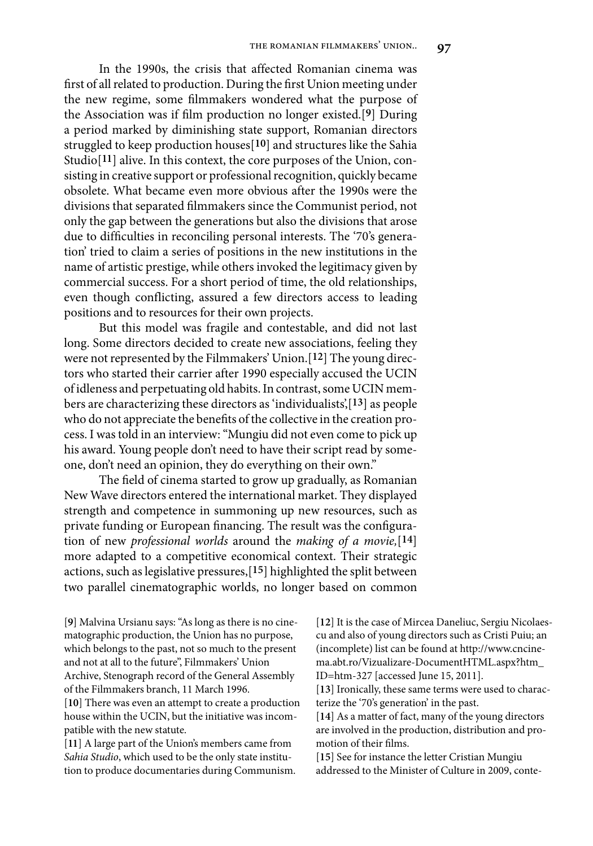In the 1990s, the crisis that affected Romanian cinema was first of all related to production. During the first Union meeting under the new regime, some filmmakers wondered what the purpose of the Association was if film production no longer existed.[**9**] During a period marked by diminishing state support, Romanian directors struggled to keep production houses[**10**] and structures like the Sahia Studio<sup>[11</sup>] alive. In this context, the core purposes of the Union, consisting in creative support or professional recognition, quickly became obsolete. What became even more obvious after the 1990s were the divisions that separated filmmakers since the Communist period, not only the gap between the generations but also the divisions that arose due to difficulties in reconciling personal interests. The '70's generation' tried to claim a series of positions in the new institutions in the name of artistic prestige, while others invoked the legitimacy given by commercial success. For a short period of time, the old relationships, even though conflicting, assured a few directors access to leading positions and to resources for their own projects.

But this model was fragile and contestable, and did not last long. Some directors decided to create new associations, feeling they were not represented by the Filmmakers' Union.[**12**] The young directors who started their carrier after 1990 especially accused the UCIN of idleness and perpetuating old habits. In contrast, some UCIN members are characterizing these directors as 'individualists',[**13**] as people who do not appreciate the benefits of the collective in the creation process. I was told in an interview: "Mungiu did not even come to pick up his award. Young people don't need to have their script read by someone, don't need an opinion, they do everything on their own."

The field of cinema started to grow up gradually, as Romanian New Wave directors entered the international market. They displayed strength and competence in summoning up new resources, such as private funding or European financing. The result was the configuration of new *professional worlds* around the *making of a movie,*[**14**] more adapted to a competitive economical context. Their strategic actions, such as legislative pressures,[**15**] highlighted the split between two parallel cinematographic worlds, no longer based on common

[**9**] Malvina Ursianu says: "As long as there is no cinematographic production, the Union has no purpose, which belongs to the past, not so much to the present and not at all to the future", Filmmakers' Union Archive, Stenograph record of the General Assembly of the Filmmakers branch, 11 March 1996.

[**10**] There was even an attempt to create a production house within the UCIN, but the initiative was incompatible with the new statute.

[**11**] A large part of the Union's members came from *Sahia Studio*, which used to be the only state institution to produce documentaries during Communism. [**12**] It is the case of Mircea Daneliuc, Sergiu Nicolaescu and also of young directors such as Cristi Puiu; an (incomplete) list can be found at http://www.cncinema.abt.ro/Vizualizare-DocumentHTML.aspx?htm\_ ID=htm-327 [accessed June 15, 2011].

[**13**] Ironically, these same terms were used to characterize the '70's generation' in the past.

[**14**] As a matter of fact, many of the young directors are involved in the production, distribution and promotion of their films.

[15] See for instance the letter Cristian Mungiu addressed to the Minister of Culture in 2009, conte